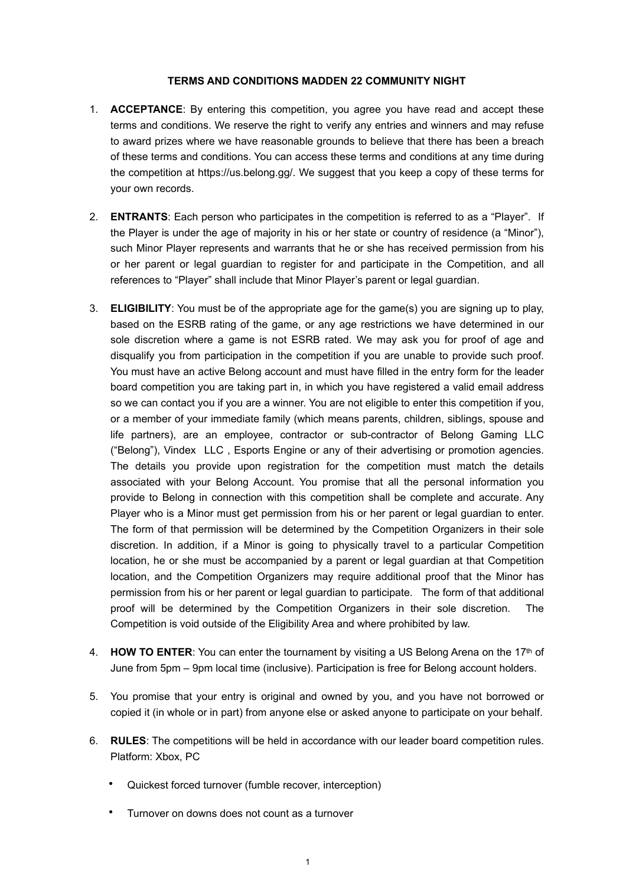## **TERMS AND CONDITIONS MADDEN 22 COMMUNITY NIGHT**

- 1. **ACCEPTANCE**: By entering this competition, you agree you have read and accept these terms and conditions. We reserve the right to verify any entries and winners and may refuse to award prizes where we have reasonable grounds to believe that there has been a breach of these terms and conditions. You can access these terms and conditions at any time during the competition at https://us.belong.gg/. We suggest that you keep a copy of these terms for your own records.
- 2. **ENTRANTS**: Each person who participates in the competition is referred to as a "Player". If the Player is under the age of majority in his or her state or country of residence (a "Minor"), such Minor Player represents and warrants that he or she has received permission from his or her parent or legal guardian to register for and participate in the Competition, and all references to "Player" shall include that Minor Player's parent or legal guardian.
- 3. **ELIGIBILITY**: You must be of the appropriate age for the game(s) you are signing up to play, based on the ESRB rating of the game, or any age restrictions we have determined in our sole discretion where a game is not ESRB rated. We may ask you for proof of age and disqualify you from participation in the competition if you are unable to provide such proof. You must have an active Belong account and must have filled in the entry form for the leader board competition you are taking part in, in which you have registered a valid email address so we can contact you if you are a winner. You are not eligible to enter this competition if you, or a member of your immediate family (which means parents, children, siblings, spouse and life partners), are an employee, contractor or sub-contractor of Belong Gaming LLC ("Belong"), Vindex LLC , Esports Engine or any of their advertising or promotion agencies. The details you provide upon registration for the competition must match the details associated with your Belong Account. You promise that all the personal information you provide to Belong in connection with this competition shall be complete and accurate. Any Player who is a Minor must get permission from his or her parent or legal guardian to enter. The form of that permission will be determined by the Competition Organizers in their sole discretion. In addition, if a Minor is going to physically travel to a particular Competition location, he or she must be accompanied by a parent or legal guardian at that Competition location, and the Competition Organizers may require additional proof that the Minor has permission from his or her parent or legal guardian to participate. The form of that additional proof will be determined by the Competition Organizers in their sole discretion. The Competition is void outside of the Eligibility Area and where prohibited by law.
- 4. **HOW TO ENTER**: You can enter the tournament by visiting a US Belong Arena on the 17th of June from 5pm – 9pm local time (inclusive). Participation is free for Belong account holders.
- 5. You promise that your entry is original and owned by you, and you have not borrowed or copied it (in whole or in part) from anyone else or asked anyone to participate on your behalf.
- 6. **RULES**: The competitions will be held in accordance with our leader board competition rules. Platform: Xbox, PC
	- Quickest forced turnover (fumble recover, interception)
	- Turnover on downs does not count as a turnover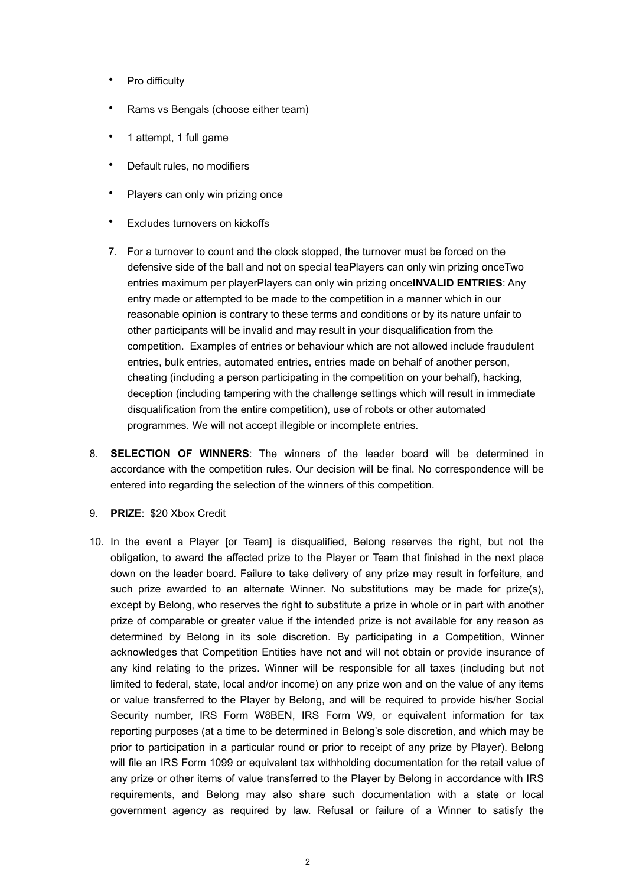- Pro difficulty
- Rams vs Bengals (choose either team)
- 1 attempt, 1 full game
- Default rules, no modifiers
- Players can only win prizing once
- Excludes turnovers on kickoffs
- 7. For a turnover to count and the clock stopped, the turnover must be forced on the defensive side of the ball and not on special teaPlayers can only win prizing onceTwo entries maximum per playerPlayers can only win prizing once**INVALID ENTRIES**: Any entry made or attempted to be made to the competition in a manner which in our reasonable opinion is contrary to these terms and conditions or by its nature unfair to other participants will be invalid and may result in your disqualification from the competition. Examples of entries or behaviour which are not allowed include fraudulent entries, bulk entries, automated entries, entries made on behalf of another person, cheating (including a person participating in the competition on your behalf), hacking, deception (including tampering with the challenge settings which will result in immediate disqualification from the entire competition), use of robots or other automated programmes. We will not accept illegible or incomplete entries.
- 8. **SELECTION OF WINNERS**: The winners of the leader board will be determined in accordance with the competition rules. Our decision will be final. No correspondence will be entered into regarding the selection of the winners of this competition.
- 9. **PRIZE**: \$20 Xbox Credit
- 10. In the event a Player [or Team] is disqualified, Belong reserves the right, but not the obligation, to award the affected prize to the Player or Team that finished in the next place down on the leader board. Failure to take delivery of any prize may result in forfeiture, and such prize awarded to an alternate Winner. No substitutions may be made for prize(s), except by Belong, who reserves the right to substitute a prize in whole or in part with another prize of comparable or greater value if the intended prize is not available for any reason as determined by Belong in its sole discretion. By participating in a Competition, Winner acknowledges that Competition Entities have not and will not obtain or provide insurance of any kind relating to the prizes. Winner will be responsible for all taxes (including but not limited to federal, state, local and/or income) on any prize won and on the value of any items or value transferred to the Player by Belong, and will be required to provide his/her Social Security number, IRS Form W8BEN, IRS Form W9, or equivalent information for tax reporting purposes (at a time to be determined in Belong's sole discretion, and which may be prior to participation in a particular round or prior to receipt of any prize by Player). Belong will file an IRS Form 1099 or equivalent tax withholding documentation for the retail value of any prize or other items of value transferred to the Player by Belong in accordance with IRS requirements, and Belong may also share such documentation with a state or local government agency as required by law. Refusal or failure of a Winner to satisfy the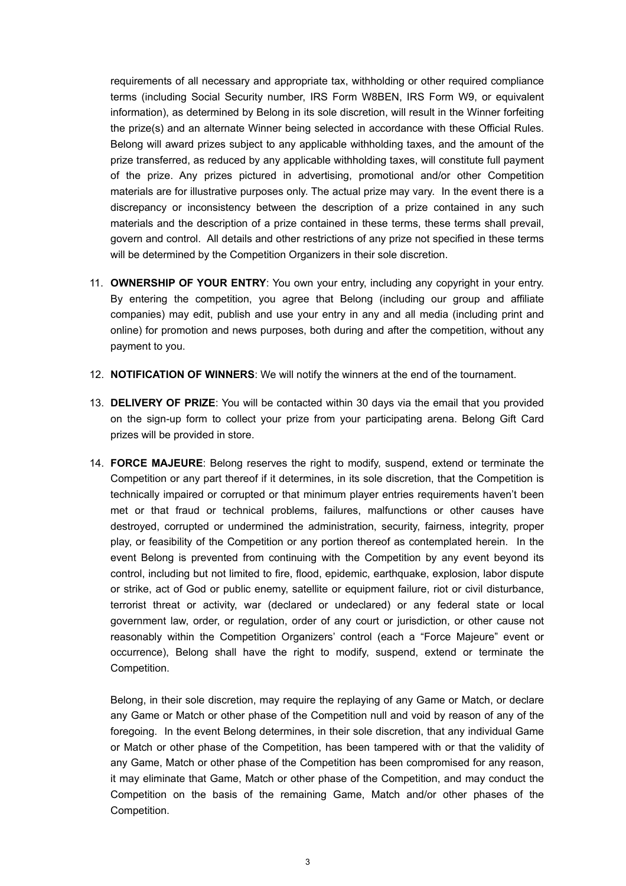requirements of all necessary and appropriate tax, withholding or other required compliance terms (including Social Security number, IRS Form W8BEN, IRS Form W9, or equivalent information), as determined by Belong in its sole discretion, will result in the Winner forfeiting the prize(s) and an alternate Winner being selected in accordance with these Official Rules. Belong will award prizes subject to any applicable withholding taxes, and the amount of the prize transferred, as reduced by any applicable withholding taxes, will constitute full payment of the prize. Any prizes pictured in advertising, promotional and/or other Competition materials are for illustrative purposes only. The actual prize may vary. In the event there is a discrepancy or inconsistency between the description of a prize contained in any such materials and the description of a prize contained in these terms, these terms shall prevail, govern and control. All details and other restrictions of any prize not specified in these terms will be determined by the Competition Organizers in their sole discretion.

- 11. **OWNERSHIP OF YOUR ENTRY**: You own your entry, including any copyright in your entry. By entering the competition, you agree that Belong (including our group and affiliate companies) may edit, publish and use your entry in any and all media (including print and online) for promotion and news purposes, both during and after the competition, without any payment to you.
- 12. **NOTIFICATION OF WINNERS**: We will notify the winners at the end of the tournament.
- 13. **DELIVERY OF PRIZE**: You will be contacted within 30 days via the email that you provided on the sign-up form to collect your prize from your participating arena. Belong Gift Card prizes will be provided in store.
- 14. **FORCE MAJEURE**: Belong reserves the right to modify, suspend, extend or terminate the Competition or any part thereof if it determines, in its sole discretion, that the Competition is technically impaired or corrupted or that minimum player entries requirements haven't been met or that fraud or technical problems, failures, malfunctions or other causes have destroyed, corrupted or undermined the administration, security, fairness, integrity, proper play, or feasibility of the Competition or any portion thereof as contemplated herein. In the event Belong is prevented from continuing with the Competition by any event beyond its control, including but not limited to fire, flood, epidemic, earthquake, explosion, labor dispute or strike, act of God or public enemy, satellite or equipment failure, riot or civil disturbance, terrorist threat or activity, war (declared or undeclared) or any federal state or local government law, order, or regulation, order of any court or jurisdiction, or other cause not reasonably within the Competition Organizers' control (each a "Force Majeure" event or occurrence), Belong shall have the right to modify, suspend, extend or terminate the Competition.

Belong, in their sole discretion, may require the replaying of any Game or Match, or declare any Game or Match or other phase of the Competition null and void by reason of any of the foregoing. In the event Belong determines, in their sole discretion, that any individual Game or Match or other phase of the Competition, has been tampered with or that the validity of any Game, Match or other phase of the Competition has been compromised for any reason, it may eliminate that Game, Match or other phase of the Competition, and may conduct the Competition on the basis of the remaining Game, Match and/or other phases of the Competition.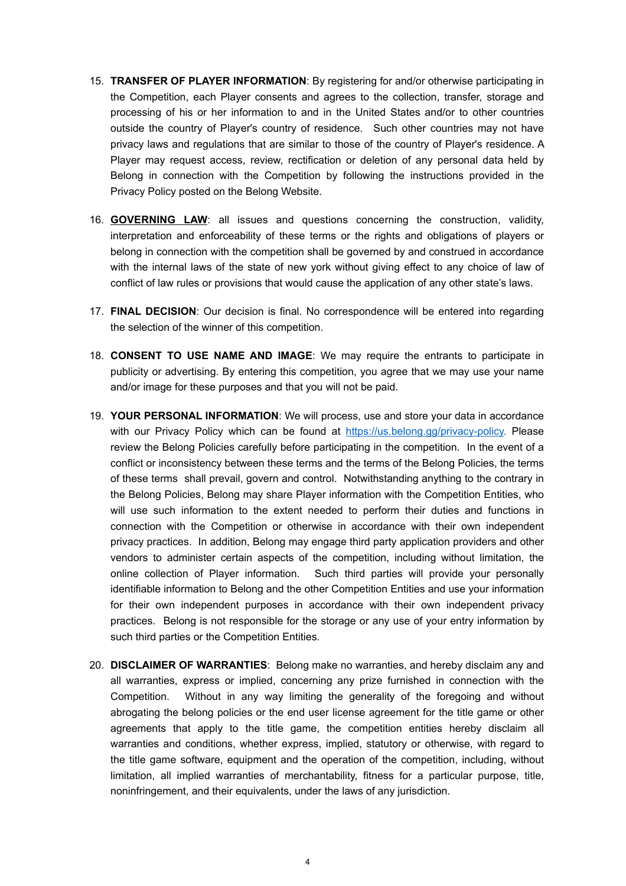- 15. **TRANSFER OF PLAYER INFORMATION**: By registering for and/or otherwise participating in the Competition, each Player consents and agrees to the collection, transfer, storage and processing of his or her information to and in the United States and/or to other countries outside the country of Player's country of residence. Such other countries may not have privacy laws and regulations that are similar to those of the country of Player's residence. A Player may request access, review, rectification or deletion of any personal data held by Belong in connection with the Competition by following the instructions provided in the Privacy Policy posted on the Belong Website.
- 16. **GOVERNING LAW**: all issues and questions concerning the construction, validity, interpretation and enforceability of these terms or the rights and obligations of players or belong in connection with the competition shall be governed by and construed in accordance with the internal laws of the state of new york without giving effect to any choice of law of conflict of law rules or provisions that would cause the application of any other state's laws.
- 17. **FINAL DECISION**: Our decision is final. No correspondence will be entered into regarding the selection of the winner of this competition.
- 18. **CONSENT TO USE NAME AND IMAGE**: We may require the entrants to participate in publicity or advertising. By entering this competition, you agree that we may use your name and/or image for these purposes and that you will not be paid.
- 19. **YOUR PERSONAL INFORMATION**: We will process, use and store your data in accordance with our Privacy Policy which can be found at [https://us.belong.gg/privacy-policy.](https://us.belong.gg/privacy-policy) Please review the Belong Policies carefully before participating in the competition. In the event of a conflict or inconsistency between these terms and the terms of the Belong Policies, the terms of these terms shall prevail, govern and control. Notwithstanding anything to the contrary in the Belong Policies, Belong may share Player information with the Competition Entities, who will use such information to the extent needed to perform their duties and functions in connection with the Competition or otherwise in accordance with their own independent privacy practices. In addition, Belong may engage third party application providers and other vendors to administer certain aspects of the competition, including without limitation, the online collection of Player information. Such third parties will provide your personally identifiable information to Belong and the other Competition Entities and use your information for their own independent purposes in accordance with their own independent privacy practices. Belong is not responsible for the storage or any use of your entry information by such third parties or the Competition Entities.
- 20. **DISCLAIMER OF WARRANTIES**: Belong make no warranties, and hereby disclaim any and all warranties, express or implied, concerning any prize furnished in connection with the Competition. Without in any way limiting the generality of the foregoing and without abrogating the belong policies or the end user license agreement for the title game or other agreements that apply to the title game, the competition entities hereby disclaim all warranties and conditions, whether express, implied, statutory or otherwise, with regard to the title game software, equipment and the operation of the competition, including, without limitation, all implied warranties of merchantability, fitness for a particular purpose, title, noninfringement, and their equivalents, under the laws of any jurisdiction.